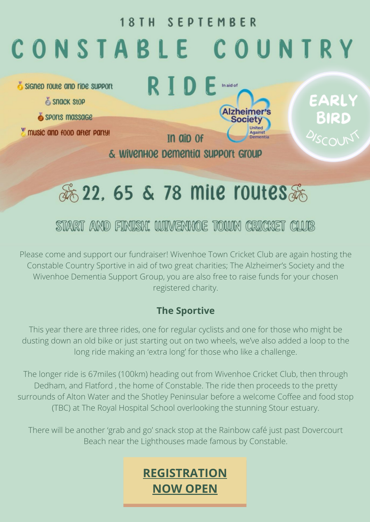#### **18TH SEPTEMBER**

# CONSTABLE COUNTRY

Signep route and ripe support

- Snack Stop
- SPOrts massage

music and food after party!



EARLY BIRD

悉 22, 65 & 78 mile routes系

In aip of

& Wivenhoe pementia support Group

## START AND FINISH. WINENHOE TOWN CRICKET CLUB

Please come and support our fundraiser! Wivenhoe Town Cricket Club are again hosting the Constable Country Sportive in aid of two great charities; The Alzheimer's Society and the Wivenhoe Dementia Support Group, you are also free to raise funds for your chosen registered charity.

### **The Sportive**

This year there are three rides, one for regular cyclists and one for those who might be dusting down an old bike or just starting out on two wheels, we've also added a loop to the long ride making an 'extra long' for those who like a challenge.

The longer ride is 67miles (100km) heading out from Wivenhoe Cricket Club, then through Dedham, and Flatford , the home of Constable. The ride then proceeds to the pretty surrounds of Alton Water and the Shotley Peninsular before a welcome Coffee and food stop (TBC) at The Royal Hospital School overlooking the stunning Stour estuary.

There will be another 'grab and go' snack stop at the Rainbow café just past Dovercourt Beach near the Lighthouses made famous by Constable.

## **[REGISTRATION](https://endurancecui.active.com/new/events/80993134/select-race?e4p=cc39d7e9-9693-4042-a94f-cc954e90573d&e4ts=1647271453&e4q=5a5aaafc-975c-4b21-bfcc-c446a8b7e72d&e4c=active&e4e=snawe00000000&e4h=ab7e1dc86730fa559a19165c488ac776&e4rt=Safetynet&error=login_required&state=0592e4c8-eb1f-43f8-8934-3157f45e5435&_p=22583875269986908) NOW [OPEN](https://endurancecui.active.com/new/events/80993134/select-race?e4p=cc39d7e9-9693-4042-a94f-cc954e90573d&e4ts=1647271453&e4q=5a5aaafc-975c-4b21-bfcc-c446a8b7e72d&e4c=active&e4e=snawe00000000&e4h=ab7e1dc86730fa559a19165c488ac776&e4rt=Safetynet&error=login_required&state=0592e4c8-eb1f-43f8-8934-3157f45e5435&_p=22583875269986908)**